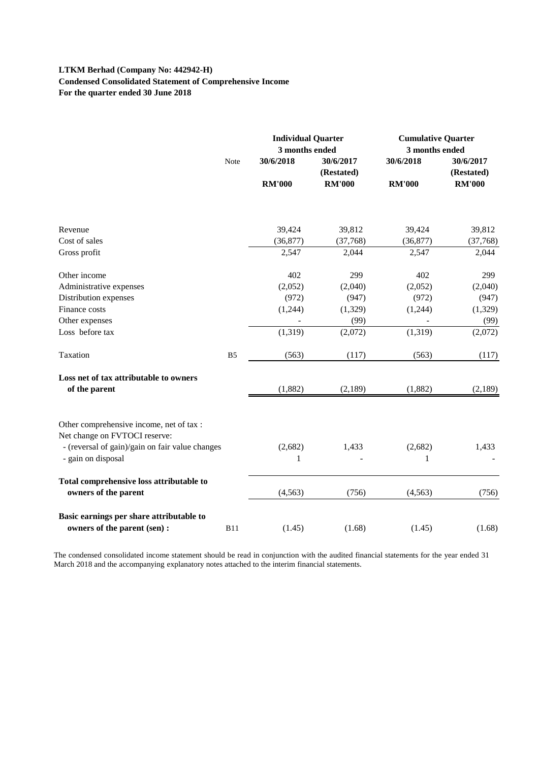#### **LTKM Berhad (Company No: 442942-H) Condensed Consolidated Statement of Comprehensive Income For the quarter ended 30 June 2018**

|                                                                           |                | <b>Individual Quarter</b><br>3 months ended |                         | <b>Cumulative Quarter</b><br>3 months ended |                         |
|---------------------------------------------------------------------------|----------------|---------------------------------------------|-------------------------|---------------------------------------------|-------------------------|
|                                                                           | Note           | 30/6/2018                                   | 30/6/2017<br>(Restated) | 30/6/2018                                   | 30/6/2017<br>(Restated) |
|                                                                           |                | <b>RM'000</b>                               | <b>RM'000</b>           | <b>RM'000</b>                               | <b>RM'000</b>           |
|                                                                           |                |                                             |                         |                                             |                         |
| Revenue                                                                   |                | 39,424                                      | 39,812                  | 39,424                                      | 39,812                  |
| Cost of sales                                                             |                | (36,877)                                    | (37,768)                | (36, 877)                                   | (37,768)                |
| Gross profit                                                              |                | 2,547                                       | 2,044                   | 2,547                                       | 2,044                   |
| Other income                                                              |                | 402                                         | 299                     | 402                                         | 299                     |
| Administrative expenses                                                   |                | (2,052)                                     | (2,040)                 | (2,052)                                     | (2,040)                 |
| Distribution expenses                                                     |                | (972)                                       | (947)                   | (972)                                       | (947)                   |
| Finance costs                                                             |                | (1,244)                                     | (1,329)                 | (1,244)                                     | (1,329)                 |
| Other expenses                                                            |                |                                             | (99)                    |                                             | (99)                    |
| Loss before tax                                                           |                | (1, 319)                                    | (2,072)                 | (1,319)                                     | (2,072)                 |
| Taxation                                                                  | B <sub>5</sub> | (563)                                       | (117)                   | (563)                                       | (117)                   |
| Loss net of tax attributable to owners                                    |                |                                             |                         |                                             |                         |
| of the parent                                                             |                | (1,882)                                     | (2,189)                 | (1,882)                                     | (2,189)                 |
| Other comprehensive income, net of tax :<br>Net change on FVTOCI reserve: |                |                                             |                         |                                             |                         |
| - (reversal of gain)/gain on fair value changes<br>- gain on disposal     |                | (2,682)<br>1                                | 1,433                   | (2,682)<br>1                                | 1,433                   |
|                                                                           |                |                                             |                         |                                             |                         |
| Total comprehensive loss attributable to<br>owners of the parent          |                | (4, 563)                                    | (756)                   | (4, 563)                                    | (756)                   |
|                                                                           |                |                                             |                         |                                             |                         |
| Basic earnings per share attributable to<br>owners of the parent (sen) :  | <b>B11</b>     | (1.45)                                      | (1.68)                  | (1.45)                                      | (1.68)                  |

The condensed consolidated income statement should be read in conjunction with the audited financial statements for the year ended 31 March 2018 and the accompanying explanatory notes attached to the interim financial statements.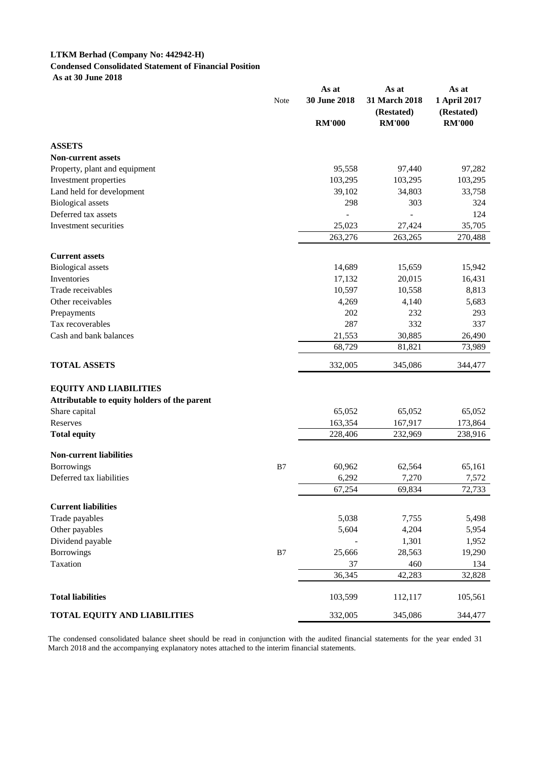# **LTKM Berhad (Company No: 442942-H) Condensed Consolidated Statement of Financial Position**

 **As at 30 June 2018**

|                                               |               | As at           | As at                       | As at                      |  |
|-----------------------------------------------|---------------|-----------------|-----------------------------|----------------------------|--|
|                                               | Note          | 30 June 2018    | 31 March 2018<br>(Restated) | 1 April 2017<br>(Restated) |  |
|                                               |               | <b>RM'000</b>   | <b>RM'000</b>               | <b>RM'000</b>              |  |
| <b>ASSETS</b>                                 |               |                 |                             |                            |  |
| <b>Non-current assets</b>                     |               |                 |                             |                            |  |
| Property, plant and equipment                 |               | 95,558          | 97,440                      | 97,282                     |  |
| Investment properties                         |               | 103,295         | 103,295                     | 103,295                    |  |
| Land held for development                     |               | 39,102          | 34,803                      | 33,758                     |  |
| <b>Biological</b> assets                      |               | 298             | 303                         | 324                        |  |
| Deferred tax assets                           |               |                 |                             | 124                        |  |
| Investment securities                         |               | 25,023          | 27,424                      | 35,705                     |  |
|                                               |               | 263,276         | 263,265                     | 270,488                    |  |
| <b>Current assets</b>                         |               |                 |                             |                            |  |
| <b>Biological</b> assets                      |               | 14,689          | 15,659                      | 15,942                     |  |
| Inventories                                   |               | 17,132          | 20,015                      | 16,431                     |  |
| Trade receivables                             |               | 10,597          | 10,558                      | 8,813                      |  |
| Other receivables                             |               | 4,269           | 4,140                       | 5,683                      |  |
| Prepayments                                   |               | 202             | 232                         | 293                        |  |
| Tax recoverables                              |               | 287             | 332                         | 337                        |  |
| Cash and bank balances                        |               | 21,553          | 30,885                      | 26,490                     |  |
|                                               |               | 68,729          | 81,821                      | 73,989                     |  |
| <b>TOTAL ASSETS</b>                           |               | 332,005         | 345,086                     | 344,477                    |  |
| <b>EQUITY AND LIABILITIES</b>                 |               |                 |                             |                            |  |
| Attributable to equity holders of the parent  |               |                 |                             |                            |  |
| Share capital                                 |               | 65,052          | 65,052                      | 65,052                     |  |
| Reserves                                      |               | 163,354         | 167,917                     | 173,864                    |  |
| <b>Total equity</b>                           |               | 228,406         | 232,969                     | 238,916                    |  |
|                                               |               |                 |                             |                            |  |
| <b>Non-current liabilities</b>                | B7            | 60,962          | 62,564                      | 65,161                     |  |
| <b>Borrowings</b><br>Deferred tax liabilities |               |                 |                             |                            |  |
|                                               |               | 6,292<br>67,254 | 7,270<br>69,834             | 7,572<br>72,733            |  |
|                                               |               |                 |                             |                            |  |
| <b>Current liabilities</b>                    |               |                 |                             |                            |  |
| Trade payables                                |               | 5,038           | 7,755                       | 5,498                      |  |
| Other payables                                |               | 5,604           | 4,204                       | 5,954                      |  |
| Dividend payable                              |               |                 | 1,301                       | 1,952                      |  |
| <b>Borrowings</b>                             | $\mathbf{B}7$ | 25,666          | 28,563                      | 19,290                     |  |
| Taxation                                      |               | 37              | 460                         | 134                        |  |
|                                               |               | 36,345          | 42,283                      | 32,828                     |  |
| <b>Total liabilities</b>                      |               | 103,599         | 112,117                     | 105,561                    |  |
| <b>TOTAL EQUITY AND LIABILITIES</b>           |               | 332,005         | 345,086                     | 344,477                    |  |

The condensed consolidated balance sheet should be read in conjunction with the audited financial statements for the year ended 31 March 2018 and the accompanying explanatory notes attached to the interim financial statements.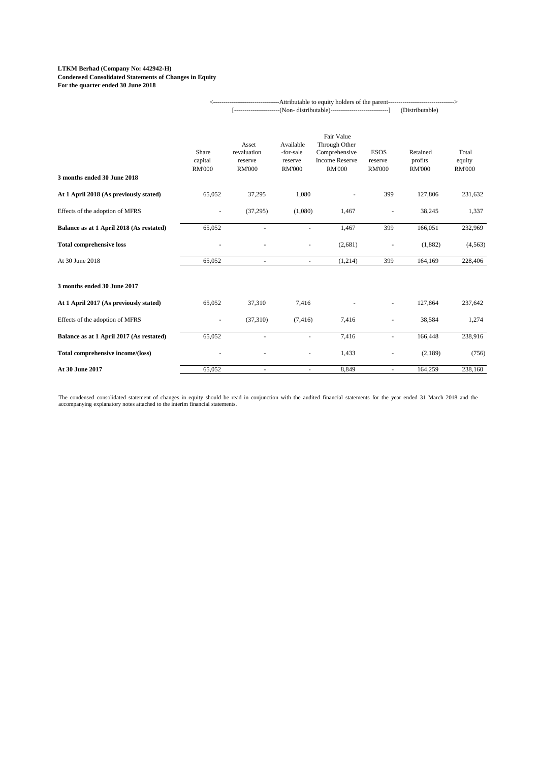#### **LTKM Berhad (Company No: 442942-H) Condensed Consolidated Statements of Changes in Equity For the quarter ended 30 June 2018**

|                                          |                                   |                                                  |                                                    |                                                                                        |                                         | (Distributable)                      |                                  |
|------------------------------------------|-----------------------------------|--------------------------------------------------|----------------------------------------------------|----------------------------------------------------------------------------------------|-----------------------------------------|--------------------------------------|----------------------------------|
| 3 months ended 30 June 2018              | Share<br>capital<br><b>RM'000</b> | Asset<br>revaluation<br>reserve<br><b>RM'000</b> | Available<br>-for-sale<br>reserve<br><b>RM'000</b> | Fair Value<br>Through Other<br>Comprehensive<br><b>Income Reserve</b><br><b>RM'000</b> | <b>ESOS</b><br>reserve<br><b>RM'000</b> | Retained<br>profits<br><b>RM'000</b> | Total<br>equity<br><b>RM'000</b> |
| At 1 April 2018 (As previously stated)   | 65,052                            | 37,295                                           | 1,080                                              |                                                                                        | 399                                     | 127,806                              | 231,632                          |
| Effects of the adoption of MFRS          |                                   | (37,295)                                         | (1,080)                                            | 1,467                                                                                  |                                         | 38,245                               | 1,337                            |
| Balance as at 1 April 2018 (As restated) | 65,052                            |                                                  |                                                    | 1,467                                                                                  | 399                                     | 166,051                              | 232,969                          |
| <b>Total comprehensive loss</b>          |                                   |                                                  |                                                    | (2,681)                                                                                | $\sim$                                  | (1,882)                              | (4,563)                          |
| At 30 June 2018                          | 65,052                            | $\overline{\phantom{a}}$                         | $\overline{\phantom{a}}$                           | (1,214)                                                                                | 399                                     | 164,169                              | 228,406                          |
| 3 months ended 30 June 2017              |                                   |                                                  |                                                    |                                                                                        |                                         |                                      |                                  |
| At 1 April 2017 (As previously stated)   | 65,052                            | 37,310                                           | 7,416                                              |                                                                                        |                                         | 127,864                              | 237,642                          |
| Effects of the adoption of MFRS          | $\blacksquare$                    | (37,310)                                         | (7, 416)                                           | 7,416                                                                                  | ÷,                                      | 38,584                               | 1,274                            |
| Balance as at 1 April 2017 (As restated) | 65,052                            | $\equiv$                                         | $\overline{\phantom{a}}$                           | 7,416                                                                                  | $\equiv$                                | 166,448                              | 238,916                          |
| Total comprehensive income/(loss)        |                                   |                                                  |                                                    | 1,433                                                                                  | ÷,                                      | (2,189)                              | (756)                            |
| At 30 June 2017                          | 65,052                            | $\sim$                                           | $\overline{\phantom{a}}$                           | 8,849                                                                                  | $\equiv$                                | 164,259                              | 238,160                          |

<--------------------------------Attributable to equity holders of the parent-------------------------------->

The condensed consolidated statement of changes in equity should be read in conjunction with the audited financial statements for the year ended 31 March 2018 and the accompanying explanatory notes attached to the interim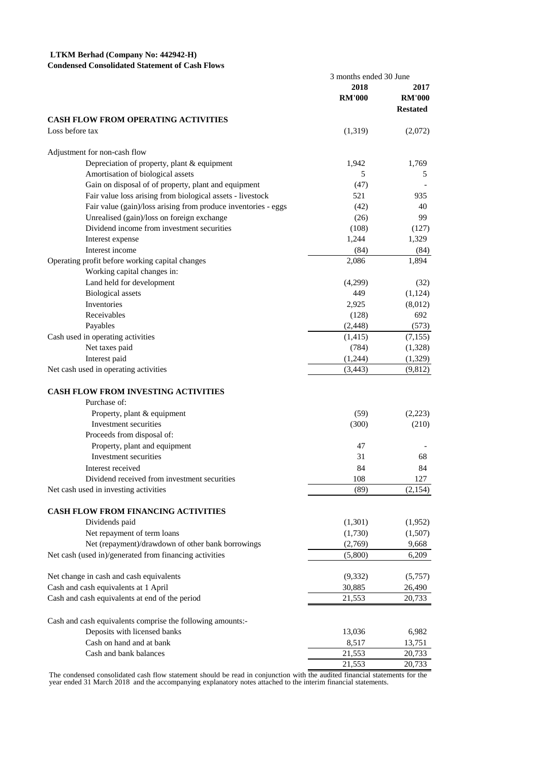### **LTKM Berhad (Company No: 442942-H)**

#### **Condensed Consolidated Statement of Cash Flows**

|                                                                | 3 months ended 30 June |                 |  |
|----------------------------------------------------------------|------------------------|-----------------|--|
|                                                                | 2018                   | 2017            |  |
|                                                                | <b>RM'000</b>          | <b>RM'000</b>   |  |
|                                                                |                        | <b>Restated</b> |  |
| <b>CASH FLOW FROM OPERATING ACTIVITIES</b>                     |                        |                 |  |
| Loss before tax                                                | (1,319)                | (2,072)         |  |
| Adjustment for non-cash flow                                   |                        |                 |  |
| Depreciation of property, plant & equipment                    | 1,942                  | 1,769           |  |
| Amortisation of biological assets                              | 5                      | 5               |  |
| Gain on disposal of of property, plant and equipment           | (47)                   |                 |  |
| Fair value loss arising from biological assets - livestock     | 521                    | 935             |  |
| Fair value (gain)/loss arising from produce inventories - eggs | (42)                   | 40              |  |
| Unrealised (gain)/loss on foreign exchange                     | (26)                   | 99              |  |
| Dividend income from investment securities                     | (108)                  | (127)           |  |
| Interest expense                                               | 1,244                  | 1,329           |  |
| Interest income                                                | (84)                   | (84)            |  |
| Operating profit before working capital changes                | 2,086                  | 1,894           |  |
| Working capital changes in:                                    |                        |                 |  |
| Land held for development                                      | (4,299)                | (32)            |  |
| <b>Biological</b> assets                                       | 449                    | (1,124)         |  |
| <b>Inventories</b>                                             | 2,925                  | (8,012)         |  |
| Receivables                                                    | (128)                  | 692             |  |
| Payables                                                       | (2, 448)               | (573)           |  |
| Cash used in operating activities                              | (1,415)                | (7,155)         |  |
| Net taxes paid                                                 | (784)                  | (1,328)         |  |
| Interest paid                                                  | (1,244)                | (1,329)         |  |
| Net cash used in operating activities                          | (3, 443)               | (9,812)         |  |
|                                                                |                        |                 |  |
| <b>CASH FLOW FROM INVESTING ACTIVITIES</b>                     |                        |                 |  |
| Purchase of:                                                   |                        |                 |  |
| Property, plant & equipment                                    | (59)                   | (2,223)         |  |
| Investment securities                                          | (300)                  | (210)           |  |
| Proceeds from disposal of:                                     |                        |                 |  |
| Property, plant and equipment                                  | 47                     |                 |  |
| Investment securities                                          | 31                     | 68              |  |
| Interest received                                              | 84                     | 84              |  |
| Dividend received from investment securities                   | 108                    | 127             |  |
| Net cash used in investing activities                          | (89)                   | (2,154)         |  |
|                                                                |                        |                 |  |
| CASH FLOW FROM FINANCING ACTIVITIES<br>Dividends paid          |                        |                 |  |
|                                                                | (1,301)                | (1,952)         |  |
| Net repayment of term loans                                    | (1,730)                | (1,507)         |  |
| Net (repayment)/drawdown of other bank borrowings              | (2,769)                | 9,668           |  |
| Net cash (used in)/generated from financing activities         | (5,800)                | 6,209           |  |
| Net change in cash and cash equivalents                        | (9, 332)               | (5,757)         |  |
| Cash and cash equivalents at 1 April                           | 30,885                 | 26,490          |  |
| Cash and cash equivalents at end of the period                 | 21,553                 | 20,733          |  |
| Cash and cash equivalents comprise the following amounts:-     |                        |                 |  |
| Deposits with licensed banks                                   | 13,036                 | 6,982           |  |
| Cash on hand and at bank                                       | 8,517                  | 13,751          |  |
| Cash and bank balances                                         | 21,553                 | 20,733          |  |
|                                                                | 21,553                 | 20,733          |  |
|                                                                |                        |                 |  |

The condensed consolidated cash flow statement should be read in conjunction with the audited financial statements for the year ended 31 March 2018 and the accompanying explanatory notes attached to the interim financial s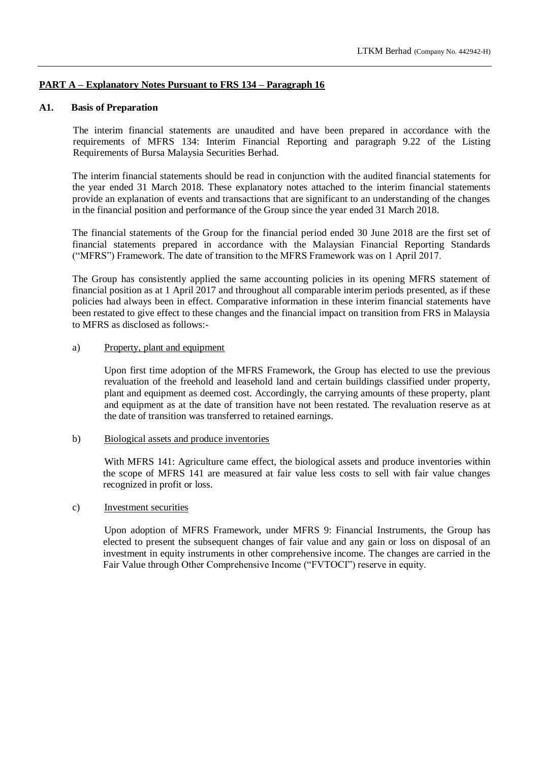#### **PART A – Explanatory Notes Pursuant to FRS 134 – Paragraph 16**

#### **A1. Basis of Preparation**

The interim financial statements are unaudited and have been prepared in accordance with the requirements of MFRS 134: Interim Financial Reporting and paragraph 9.22 of the Listing Requirements of Bursa Malaysia Securities Berhad.

The interim financial statements should be read in conjunction with the audited financial statements for the year ended 31 March 2018. These explanatory notes attached to the interim financial statements provide an explanation of events and transactions that are significant to an understanding of the changes in the financial position and performance of the Group since the year ended 31 March 2018.

The financial statements of the Group for the financial period ended 30 June 2018 are the first set of financial statements prepared in accordance with the Malaysian Financial Reporting Standards ("MFRS") Framework. The date of transition to the MFRS Framework was on 1 April 2017.

The Group has consistently applied the same accounting policies in its opening MFRS statement of financial position as at 1 April 2017 and throughout all comparable interim periods presented, as if these policies had always been in effect. Comparative information in these interim financial statements have been restated to give effect to these changes and the financial impact on transition from FRS in Malaysia to MFRS as disclosed as follows:-

#### a) Property, plant and equipment

Upon first time adoption of the MFRS Framework, the Group has elected to use the previous revaluation of the freehold and leasehold land and certain buildings classified under property, plant and equipment as deemed cost. Accordingly, the carrying amounts of these property, plant and equipment as at the date of transition have not been restated. The revaluation reserve as at the date of transition was transferred to retained earnings.

#### b) Biological assets and produce inventories

With MFRS 141: Agriculture came effect, the biological assets and produce inventories within the scope of MFRS 141 are measured at fair value less costs to sell with fair value changes recognized in profit or loss.

#### c) Investment securities

Upon adoption of MFRS Framework, under MFRS 9: Financial Instruments, the Group has elected to present the subsequent changes of fair value and any gain or loss on disposal of an investment in equity instruments in other comprehensive income. The changes are carried in the Fair Value through Other Comprehensive Income ("FVTOCI") reserve in equity.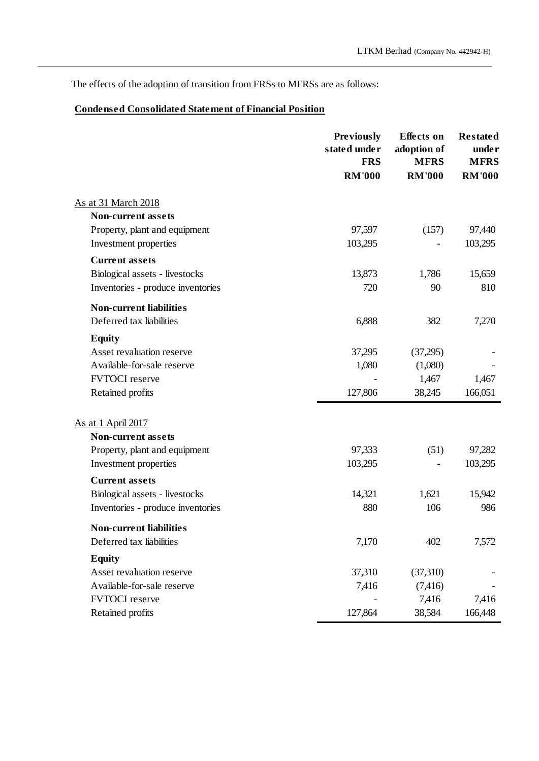The effects of the adoption of transition from FRSs to MFRSs are as follows:

# **Condensed Consolidated Statement of Financial Position**

|                                                        | <b>Previously</b><br>stated under<br><b>FRS</b> | <b>Effects</b> on<br>adoption of<br><b>MFRS</b> | <b>Restated</b><br>under<br><b>MFRS</b> |
|--------------------------------------------------------|-------------------------------------------------|-------------------------------------------------|-----------------------------------------|
|                                                        | <b>RM'000</b>                                   | <b>RM'000</b>                                   | <b>RM'000</b>                           |
| <u>As at 31 March 2018</u>                             |                                                 |                                                 |                                         |
| <b>Non-current assets</b>                              |                                                 |                                                 |                                         |
| Property, plant and equipment                          | 97,597                                          | (157)                                           | 97,440                                  |
| Investment properties                                  | 103,295                                         |                                                 | 103,295                                 |
| <b>Current assets</b>                                  |                                                 |                                                 |                                         |
| Biological assets - livestocks                         | 13,873                                          | 1,786                                           | 15,659                                  |
| Inventories - produce inventories                      | 720                                             | 90                                              | 810                                     |
| <b>Non-current liabilities</b>                         |                                                 |                                                 |                                         |
| Deferred tax liabilities                               | 6,888                                           | 382                                             | 7,270                                   |
| <b>Equity</b>                                          |                                                 |                                                 |                                         |
| Asset revaluation reserve                              | 37,295                                          | (37,295)                                        |                                         |
| Available-for-sale reserve                             | 1,080                                           | (1,080)                                         |                                         |
| <b>FVTOCI</b> reserve                                  |                                                 | 1,467                                           | 1,467                                   |
| Retained profits                                       | 127,806                                         | 38,245                                          | 166,051                                 |
|                                                        |                                                 |                                                 |                                         |
| As at 1 April 2017                                     |                                                 |                                                 |                                         |
| <b>Non-current assets</b>                              | 97,333                                          | (51)                                            |                                         |
| Property, plant and equipment<br>Investment properties | 103,295                                         |                                                 | 97,282<br>103,295                       |
|                                                        |                                                 |                                                 |                                         |
| <b>Current assets</b>                                  |                                                 |                                                 |                                         |
| Biological assets - livestocks                         | 14,321<br>880                                   | 1,621<br>106                                    | 15,942<br>986                           |
| Inventories - produce inventories                      |                                                 |                                                 |                                         |
| <b>Non-current liabilities</b>                         |                                                 |                                                 |                                         |
| Deferred tax liabilities                               | 7,170                                           | 402                                             | 7,572                                   |
| <b>Equity</b>                                          |                                                 |                                                 |                                         |
| Asset revaluation reserve                              | 37,310                                          | (37,310)                                        |                                         |
| Available-for-sale reserve                             | 7,416                                           | (7, 416)                                        |                                         |
| <b>FVTOCI</b> reserve                                  |                                                 | 7,416                                           | 7,416                                   |
| Retained profits                                       | 127,864                                         | 38,584                                          | 166,448                                 |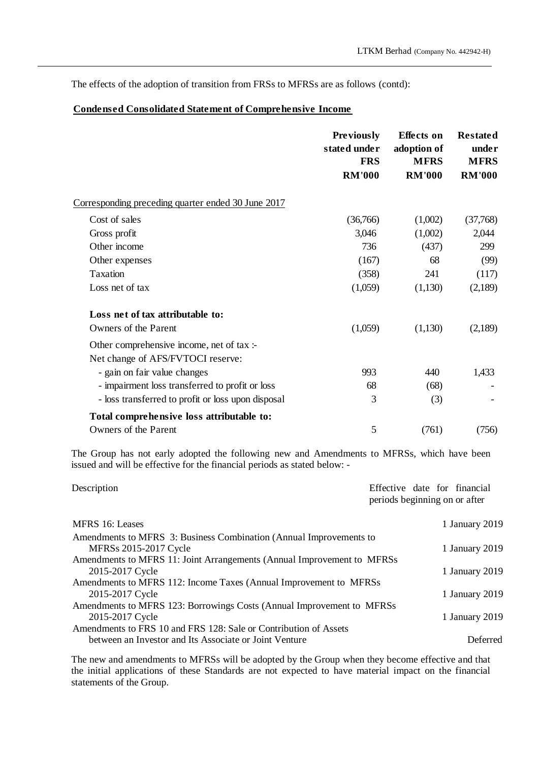The effects of the adoption of transition from FRSs to MFRSs are as follows (contd):

# **Condensed Consolidated Statement of Comprehensive Income**

|                                                                                | <b>Previously</b><br>stated under<br><b>FRS</b> | <b>Effects</b> on<br>adoption of<br><b>MFRS</b> | <b>Restated</b><br>under<br><b>MFRS</b> |  |
|--------------------------------------------------------------------------------|-------------------------------------------------|-------------------------------------------------|-----------------------------------------|--|
|                                                                                | <b>RM'000</b>                                   | <b>RM'000</b>                                   | <b>RM'000</b>                           |  |
| Corresponding preceding quarter ended 30 June 2017                             |                                                 |                                                 |                                         |  |
| Cost of sales                                                                  | (36,766)                                        | (1,002)                                         | (37,768)                                |  |
| Gross profit                                                                   | 3,046                                           | (1,002)                                         | 2,044                                   |  |
| Other income                                                                   | 736                                             | (437)                                           | 299                                     |  |
| Other expenses                                                                 | (167)                                           | 68                                              | (99)                                    |  |
| Taxation                                                                       | (358)                                           | 241                                             | (117)                                   |  |
| Loss net of tax                                                                | (1,059)                                         | (1,130)                                         | (2,189)                                 |  |
| Loss net of tax attributable to:                                               |                                                 |                                                 |                                         |  |
| Owners of the Parent                                                           | (1,059)                                         | (1,130)                                         | (2,189)                                 |  |
| Other comprehensive income, net of tax :-<br>Net change of AFS/FVTOCI reserve: |                                                 |                                                 |                                         |  |
| - gain on fair value changes                                                   | 993                                             | 440                                             | 1,433                                   |  |
| - impairment loss transferred to profit or loss                                | 68                                              | (68)                                            |                                         |  |
| - loss transferred to profit or loss upon disposal                             | 3                                               | (3)                                             |                                         |  |
| Total comprehensive loss attributable to:                                      |                                                 |                                                 |                                         |  |
| Owners of the Parent                                                           | 5                                               | (761)                                           | (756)                                   |  |

The Group has not early adopted the following new and Amendments to MFRSs, which have been issued and will be effective for the financial periods as stated below: -

| Description                                                             | Effective date for financial<br>periods beginning on or after |
|-------------------------------------------------------------------------|---------------------------------------------------------------|
| MFRS 16: Leases                                                         | 1 January 2019                                                |
| Amendments to MFRS 3: Business Combination (Annual Improvements to      |                                                               |
| MFRSs 2015-2017 Cycle                                                   | 1 January 2019                                                |
| Amendments to MFRS 11: Joint Arrangements (Annual Improvement to MFRSs) |                                                               |
| 2015-2017 Cycle                                                         | 1 January 2019                                                |
| Amendments to MFRS 112: Income Taxes (Annual Improvement to MFRSs)      |                                                               |
| 2015-2017 Cycle                                                         | 1 January 2019                                                |
| Amendments to MFRS 123: Borrowings Costs (Annual Improvement to MFRSs   |                                                               |
| 2015-2017 Cycle                                                         | 1 January 2019                                                |
| Amendments to FRS 10 and FRS 128: Sale or Contribution of Assets        |                                                               |
| between an Investor and Its Associate or Joint Venture                  | Deferred                                                      |
|                                                                         |                                                               |

The new and amendments to MFRSs will be adopted by the Group when they become effective and that the initial applications of these Standards are not expected to have material impact on the financial statements of the Group.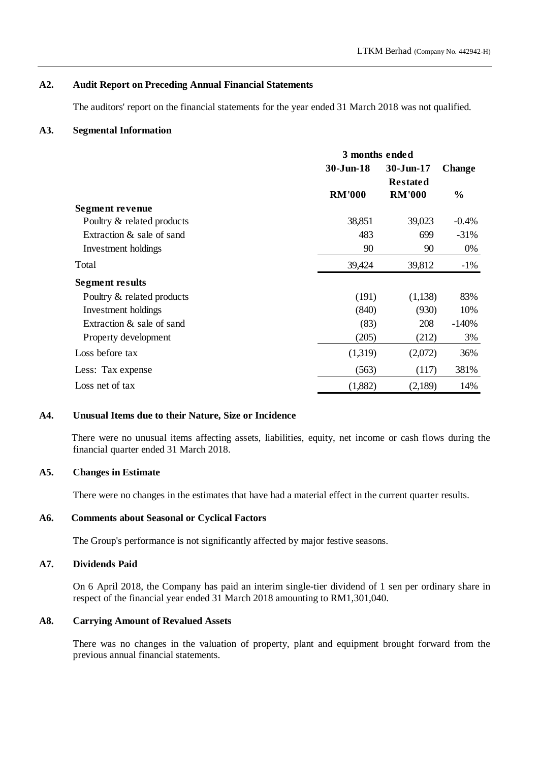#### **A2. Audit Report on Preceding Annual Financial Statements**

The auditors' report on the financial statements for the year ended 31 March 2018 was not qualified.

#### **A3. Segmental Information**

|                            | 3 months ended |                 |               |
|----------------------------|----------------|-----------------|---------------|
|                            | $30 - Jun-18$  | 30-Jun-17       | <b>Change</b> |
|                            |                | <b>Restated</b> |               |
|                            | <b>RM'000</b>  | <b>RM'000</b>   | $\frac{0}{0}$ |
| Segment revenue            |                |                 |               |
| Poultry & related products | 38,851         | 39,023          | $-0.4%$       |
| Extraction & sale of sand  | 483            | 699             | $-31%$        |
| Investment holdings        | 90             | 90              | 0%            |
| Total                      | 39,424         | 39,812          | $-1\%$        |
| Segment results            |                |                 |               |
| Poultry & related products | (191)          | (1,138)         | 83%           |
| Investment holdings        | (840)          | (930)           | 10%           |
| Extraction & sale of sand  | (83)           | 208             | $-140%$       |
| Property development       | (205)          | (212)           | 3%            |
| Loss before tax            | (1,319)        | (2,072)         | 36%           |
| Less: Tax expense          | (563)          | (117)           | 381%          |
| Loss net of tax            | (1,882)        | (2,189)         | 14%           |

#### **A4. Unusual Items due to their Nature, Size or Incidence**

There were no unusual items affecting assets, liabilities, equity, net income or cash flows during the financial quarter ended 31 March 2018.

#### **A5. Changes in Estimate**

There were no changes in the estimates that have had a material effect in the current quarter results.

#### **A6. Comments about Seasonal or Cyclical Factors**

The Group's performance is not significantly affected by major festive seasons.

# **A7. Dividends Paid**

On 6 April 2018, the Company has paid an interim single-tier dividend of 1 sen per ordinary share in respect of the financial year ended 31 March 2018 amounting to RM1,301,040.

#### **A8. Carrying Amount of Revalued Assets**

There was no changes in the valuation of property, plant and equipment brought forward from the previous annual financial statements.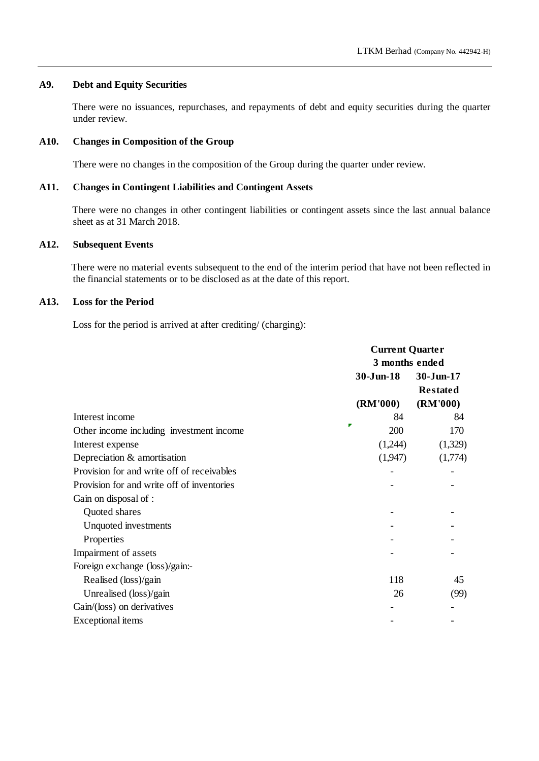### **A9. Debt and Equity Securities**

There were no issuances, repurchases, and repayments of debt and equity securities during the quarter under review.

# **A10. Changes in Composition of the Group**

There were no changes in the composition of the Group during the quarter under review.

#### **A11. Changes in Contingent Liabilities and Contingent Assets**

There were no changes in other contingent liabilities or contingent assets since the last annual balance sheet as at 31 March 2018.

### **A12. Subsequent Events**

There were no material events subsequent to the end of the interim period that have not been reflected in the financial statements or to be disclosed as at the date of this report.

### **A13. Loss for the Period**

Loss for the period is arrived at after crediting/ (charging):

|                                            | <b>Current Quarter</b><br>3 months ended |                 |  |
|--------------------------------------------|------------------------------------------|-----------------|--|
|                                            |                                          |                 |  |
|                                            | $30-J$ un-18                             | 30-Jun-17       |  |
|                                            |                                          | <b>Restated</b> |  |
|                                            | (RM'000)                                 | (RM'000)        |  |
| Interest income                            | 84                                       | 84              |  |
| Other income including investment income   | ┏<br>200                                 | 170             |  |
| Interest expense                           | (1,244)                                  | (1,329)         |  |
| Depreciation & amortisation                | (1,947)                                  | (1,774)         |  |
| Provision for and write off of receivables |                                          |                 |  |
| Provision for and write off of inventories |                                          |                 |  |
| Gain on disposal of :                      |                                          |                 |  |
| Quoted shares                              |                                          |                 |  |
| Unquoted investments                       |                                          |                 |  |
| Properties                                 |                                          |                 |  |
| Impairment of assets                       |                                          |                 |  |
| Foreign exchange (loss)/gain:-             |                                          |                 |  |
| Realised (loss)/gain                       | 118                                      | 45              |  |
| Unrealised (loss)/gain                     | 26                                       | (99)            |  |
| Gain/(loss) on derivatives                 |                                          |                 |  |
| Exceptional items                          |                                          |                 |  |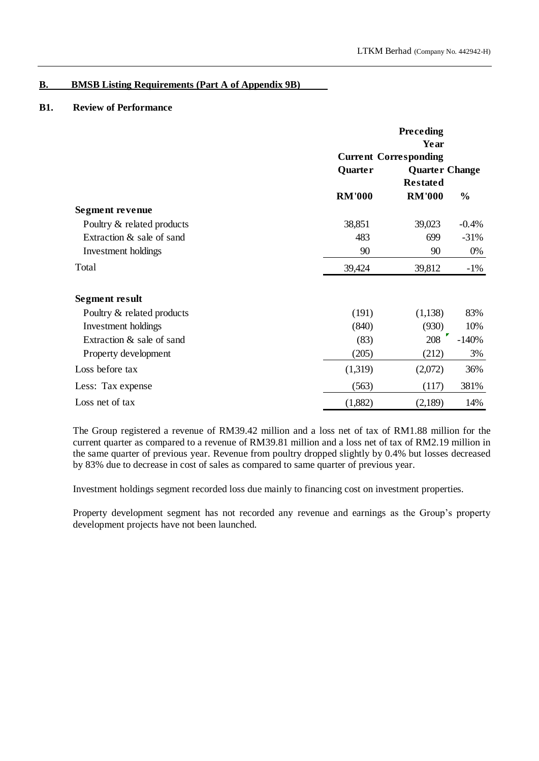# **B. BMSB Listing Requirements (Part A of Appendix 9B)**

# **B1. Review of Performance**

|                            | Preceding<br>Year |                              |                       |  |
|----------------------------|-------------------|------------------------------|-----------------------|--|
|                            |                   | <b>Current Corresponding</b> |                       |  |
|                            | Quarter           |                              | <b>Quarter Change</b> |  |
|                            |                   | <b>Restated</b>              |                       |  |
|                            | <b>RM'000</b>     | <b>RM'000</b>                | $\frac{0}{0}$         |  |
| Segment revenue            |                   |                              |                       |  |
| Poultry & related products | 38,851            | 39,023                       | $-0.4%$               |  |
| Extraction & sale of sand  | 483               | 699                          | $-31%$                |  |
| Investment holdings        | 90                | 90                           | 0%                    |  |
| Total                      | 39,424            | 39,812                       | $-1\%$                |  |
| Segment result             |                   |                              |                       |  |
| Poultry & related products | (191)             | (1,138)                      | 83%                   |  |
| Investment holdings        | (840)             | (930)                        | 10%                   |  |
| Extraction & sale of sand  | (83)              | 208                          | $-140%$               |  |
| Property development       | (205)             | (212)                        | 3%                    |  |
| Loss before tax            | (1,319)           | (2,072)                      | 36%                   |  |
| Less: Tax expense          | (563)             | (117)                        | 381%                  |  |
| Loss net of tax            | (1,882)           | (2,189)                      | 14%                   |  |

The Group registered a revenue of RM39.42 million and a loss net of tax of RM1.88 million for the current quarter as compared to a revenue of RM39.81 million and a loss net of tax of RM2.19 million in the same quarter of previous year. Revenue from poultry dropped slightly by 0.4% but losses decreased by 83% due to decrease in cost of sales as compared to same quarter of previous year.

Investment holdings segment recorded loss due mainly to financing cost on investment properties.

Property development segment has not recorded any revenue and earnings as the Group's property development projects have not been launched.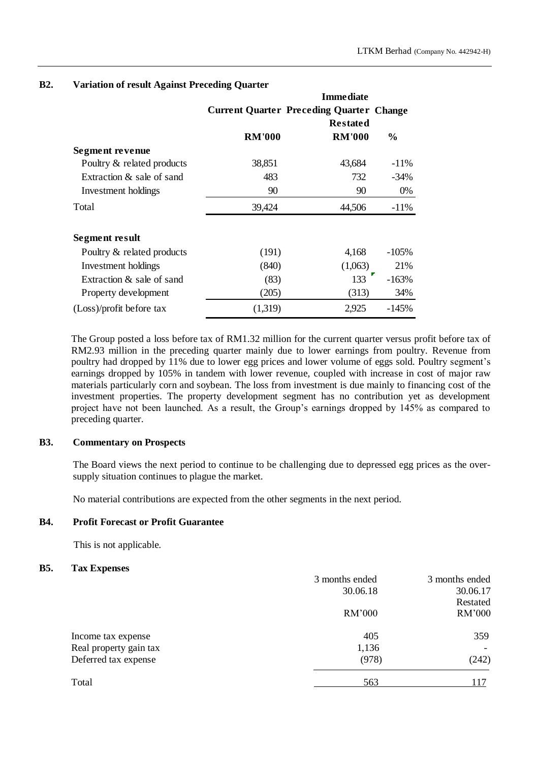|                            |               | <b>Immediate</b>                                |               |
|----------------------------|---------------|-------------------------------------------------|---------------|
|                            |               | <b>Current Quarter Preceding Quarter Change</b> |               |
|                            |               | <b>Restated</b>                                 |               |
|                            | <b>RM'000</b> | <b>RM'000</b>                                   | $\frac{0}{0}$ |
| Segment revenue            |               |                                                 |               |
| Poultry & related products | 38,851        | 43,684                                          | $-11\%$       |
| Extraction & sale of sand  | 483           | 732                                             | $-34\%$       |
| Investment holdings        | 90            | 90                                              | 0%            |
| Total                      | 39,424        | 44,506                                          | $-11\%$       |
|                            |               |                                                 |               |
| Segment result             |               |                                                 |               |
| Poultry & related products | (191)         | 4,168                                           | $-105\%$      |
| Investment holdings        | (840)         | (1,063)                                         | 21%           |
| Extraction & sale of sand  | (83)          | 133                                             | $-163%$       |
| Property development       | (205)         | (313)                                           | 34%           |
| $(Loss)/profit$ before tax | (1,319)       | 2,925                                           | $-145%$       |

#### **B2. Variation of result Against Preceding Quarter**

The Group posted a loss before tax of RM1.32 million for the current quarter versus profit before tax of RM2.93 million in the preceding quarter mainly due to lower earnings from poultry. Revenue from poultry had dropped by 11% due to lower egg prices and lower volume of eggs sold. Poultry segment's earnings dropped by 105% in tandem with lower revenue, coupled with increase in cost of major raw materials particularly corn and soybean. The loss from investment is due mainly to financing cost of the investment properties. The property development segment has no contribution yet as development project have not been launched. As a result, the Group's earnings dropped by 145% as compared to preceding quarter.

#### **B3. Commentary on Prospects**

The Board views the next period to continue to be challenging due to depressed egg prices as the oversupply situation continues to plague the market.

No material contributions are expected from the other segments in the next period.

#### **B4. Profit Forecast or Profit Guarantee**

This is not applicable.

#### **B5. Tax Expenses**

| 3 months ended | 3 months ended |
|----------------|----------------|
| 30.06.18       | 30.06.17       |
|                | Restated       |
| RM'000         | RM'000         |
| 405            | 359            |
| 1,136          |                |
| (978)          | (242)          |
| 563            | 117            |
|                |                |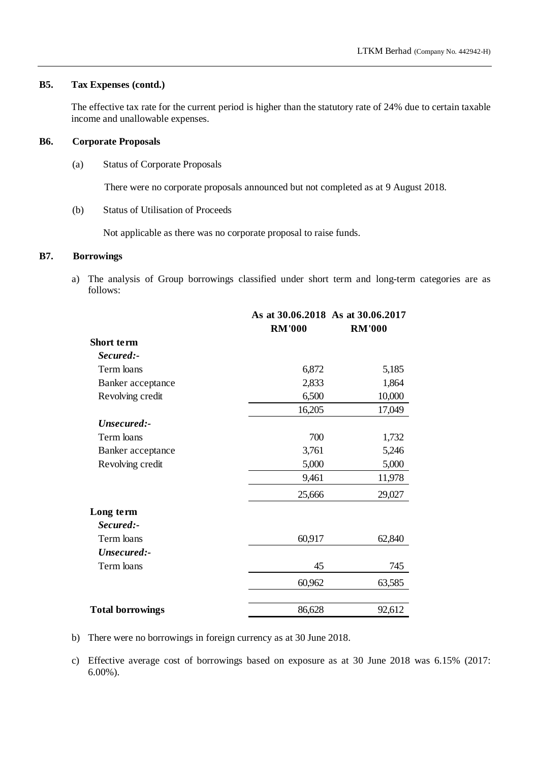# **B5. Tax Expenses (contd.)**

The effective tax rate for the current period is higher than the statutory rate of 24% due to certain taxable income and unallowable expenses.

#### **B6. Corporate Proposals**

(a) Status of Corporate Proposals

There were no corporate proposals announced but not completed as at 9 August 2018.

(b) Status of Utilisation of Proceeds

Not applicable as there was no corporate proposal to raise funds.

#### **B7. Borrowings**

a) The analysis of Group borrowings classified under short term and long-term categories are as follows:

|                         |               | As at 30.06.2018 As at 30.06.2017 |  |  |  |
|-------------------------|---------------|-----------------------------------|--|--|--|
|                         | <b>RM'000</b> | <b>RM'000</b>                     |  |  |  |
| Short term              |               |                                   |  |  |  |
| Secured:-               |               |                                   |  |  |  |
| Term loans              | 6,872         | 5,185                             |  |  |  |
| Banker acceptance       | 2,833         | 1,864                             |  |  |  |
| Revolving credit        | 6,500         | 10,000                            |  |  |  |
|                         | 16,205        | 17,049                            |  |  |  |
| Unsecured:-             |               |                                   |  |  |  |
| Term loans              | 700           | 1,732                             |  |  |  |
| Banker acceptance       | 3,761         | 5,246                             |  |  |  |
| Revolving credit        | 5,000         | 5,000                             |  |  |  |
|                         | 9,461         | 11,978                            |  |  |  |
|                         | 25,666        | 29,027                            |  |  |  |
| Long term               |               |                                   |  |  |  |
| Secured:-               |               |                                   |  |  |  |
| Term loans              | 60,917        | 62,840                            |  |  |  |
| Unsecured:-             |               |                                   |  |  |  |
| Term loans              | 45            | 745                               |  |  |  |
|                         | 60,962        | 63,585                            |  |  |  |
| <b>Total borrowings</b> | 86,628        | 92,612                            |  |  |  |

b) There were no borrowings in foreign currency as at 30 June 2018.

c) Effective average cost of borrowings based on exposure as at 30 June 2018 was 6.15% (2017: 6.00%).